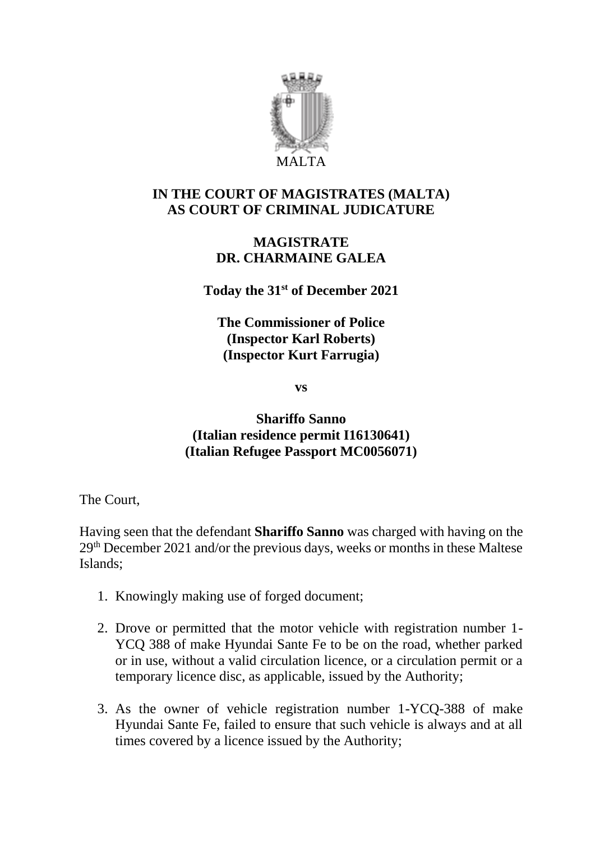

# **IN THE COURT OF MAGISTRATES (MALTA) AS COURT OF CRIMINAL JUDICATURE**

### **MAGISTRATE DR. CHARMAINE GALEA**

**Today the 31st of December 2021**

**The Commissioner of Police (Inspector Karl Roberts) (Inspector Kurt Farrugia)**

**vs**

# **Shariffo Sanno (Italian residence permit I16130641) (Italian Refugee Passport MC0056071)**

The Court,

Having seen that the defendant **Shariffo Sanno** was charged with having on the 29th December 2021 and/or the previous days, weeks or months in these Maltese Islands;

- 1. Knowingly making use of forged document;
- 2. Drove or permitted that the motor vehicle with registration number 1- YCQ 388 of make Hyundai Sante Fe to be on the road, whether parked or in use, without a valid circulation licence, or a circulation permit or a temporary licence disc, as applicable, issued by the Authority;
- 3. As the owner of vehicle registration number 1-YCQ-388 of make Hyundai Sante Fe, failed to ensure that such vehicle is always and at all times covered by a licence issued by the Authority;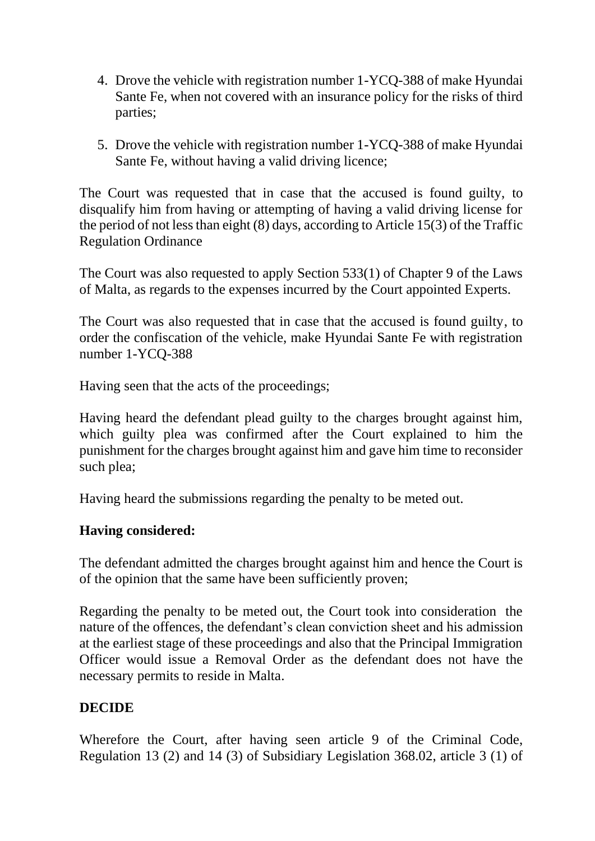- 4. Drove the vehicle with registration number 1-YCQ-388 of make Hyundai Sante Fe, when not covered with an insurance policy for the risks of third parties;
- 5. Drove the vehicle with registration number 1-YCQ-388 of make Hyundai Sante Fe, without having a valid driving licence;

The Court was requested that in case that the accused is found guilty, to disqualify him from having or attempting of having a valid driving license for the period of not less than eight (8) days, according to Article 15(3) of the Traffic Regulation Ordinance

The Court was also requested to apply Section 533(1) of Chapter 9 of the Laws of Malta, as regards to the expenses incurred by the Court appointed Experts.

The Court was also requested that in case that the accused is found guilty, to order the confiscation of the vehicle, make Hyundai Sante Fe with registration number 1-YCQ-388

Having seen that the acts of the proceedings;

Having heard the defendant plead guilty to the charges brought against him, which guilty plea was confirmed after the Court explained to him the punishment for the charges brought against him and gave him time to reconsider such plea;

Having heard the submissions regarding the penalty to be meted out.

### **Having considered:**

The defendant admitted the charges brought against him and hence the Court is of the opinion that the same have been sufficiently proven;

Regarding the penalty to be meted out, the Court took into consideration the nature of the offences, the defendant's clean conviction sheet and his admission at the earliest stage of these proceedings and also that the Principal Immigration Officer would issue a Removal Order as the defendant does not have the necessary permits to reside in Malta.

# **DECIDE**

Wherefore the Court, after having seen article 9 of the Criminal Code, Regulation 13 (2) and 14 (3) of Subsidiary Legislation 368.02, article 3 (1) of